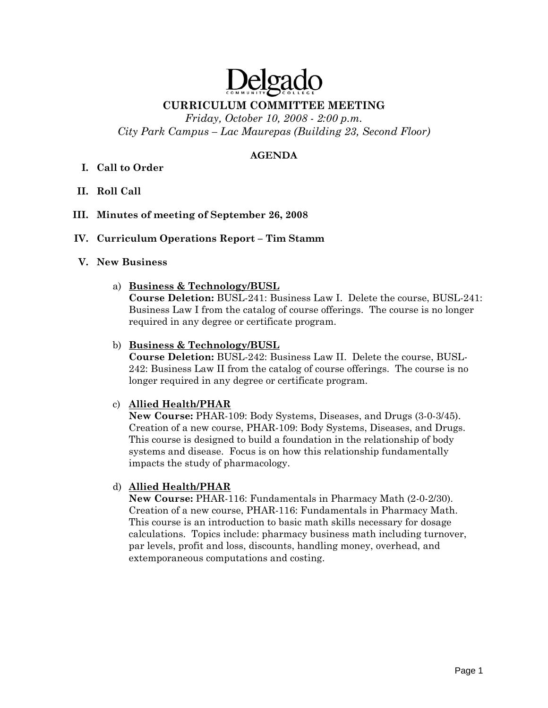# Delgado

# **CURRICULUM COMMITTEE MEETING**

*Friday, October 10, 2008 - 2:00 p.m. City Park Campus – Lac Maurepas (Building 23, Second Floor)* 

## **AGENDA**

# **I. Call to Order**

**II. Roll Call** 

## **III. Minutes of meeting of September 26, 2008**

## **IV. Curriculum Operations Report – Tim Stamm**

## **V. New Business**

a) **Business & Technology/BUSL**

**Course Deletion:** BUSL-241: Business Law I. Delete the course, BUSL-241: Business Law I from the catalog of course offerings. The course is no longer required in any degree or certificate program.

## b) **Business & Technology/BUSL**

**Course Deletion:** BUSL-242: Business Law II. Delete the course, BUSL-242: Business Law II from the catalog of course offerings. The course is no longer required in any degree or certificate program.

## c) **Allied Health/PHAR**

**New Course:** PHAR-109: Body Systems, Diseases, and Drugs (3-0-3/45). Creation of a new course, PHAR-109: Body Systems, Diseases, and Drugs. This course is designed to build a foundation in the relationship of body systems and disease. Focus is on how this relationship fundamentally impacts the study of pharmacology.

## d) **Allied Health/PHAR**

**New Course:** PHAR-116: Fundamentals in Pharmacy Math (2-0-2/30). Creation of a new course, PHAR-116: Fundamentals in Pharmacy Math. This course is an introduction to basic math skills necessary for dosage calculations. Topics include: pharmacy business math including turnover, par levels, profit and loss, discounts, handling money, overhead, and extemporaneous computations and costing.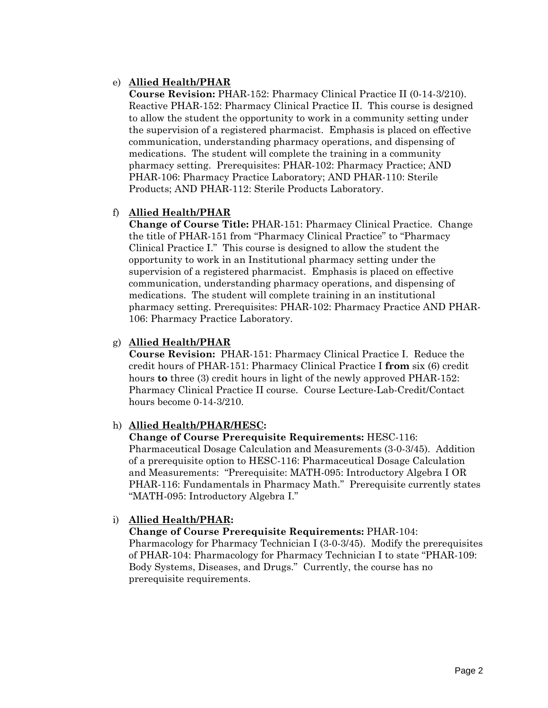## e) **Allied Health/PHAR**

**Course Revision:** PHAR-152: Pharmacy Clinical Practice II (0-14-3/210). Reactive PHAR-152: Pharmacy Clinical Practice II. This course is designed to allow the student the opportunity to work in a community setting under the supervision of a registered pharmacist. Emphasis is placed on effective communication, understanding pharmacy operations, and dispensing of medications. The student will complete the training in a community pharmacy setting. Prerequisites: PHAR-102: Pharmacy Practice; AND PHAR-106: Pharmacy Practice Laboratory; AND PHAR-110: Sterile Products; AND PHAR-112: Sterile Products Laboratory.

## f) **Allied Health/PHAR**

**Change of Course Title:** PHAR-151: Pharmacy Clinical Practice. Change the title of PHAR-151 from "Pharmacy Clinical Practice" to "Pharmacy Clinical Practice I." This course is designed to allow the student the opportunity to work in an Institutional pharmacy setting under the supervision of a registered pharmacist. Emphasis is placed on effective communication, understanding pharmacy operations, and dispensing of medications. The student will complete training in an institutional pharmacy setting. Prerequisites: PHAR-102: Pharmacy Practice AND PHAR-106: Pharmacy Practice Laboratory.

## g) **Allied Health/PHAR**

**Course Revision:** PHAR-151: Pharmacy Clinical Practice I. Reduce the credit hours of PHAR-151: Pharmacy Clinical Practice I **from** six (6) credit hours **to** three (3) credit hours in light of the newly approved PHAR-152: Pharmacy Clinical Practice II course. Course Lecture-Lab-Credit/Contact hours become 0-14-3/210.

## h) **Allied Health/PHAR/HESC:**

**Change of Course Prerequisite Requirements:** HESC-116: Pharmaceutical Dosage Calculation and Measurements (3-0-3/45). Addition of a prerequisite option to HESC-116: Pharmaceutical Dosage Calculation and Measurements: "Prerequisite: MATH-095: Introductory Algebra I OR PHAR-116: Fundamentals in Pharmacy Math." Prerequisite currently states "MATH-095: Introductory Algebra I."

# i) **Allied Health/PHAR:**

**Change of Course Prerequisite Requirements:** PHAR-104: Pharmacology for Pharmacy Technician I (3-0-3/45). Modify the prerequisites of PHAR-104: Pharmacology for Pharmacy Technician I to state "PHAR-109: Body Systems, Diseases, and Drugs." Currently, the course has no prerequisite requirements.